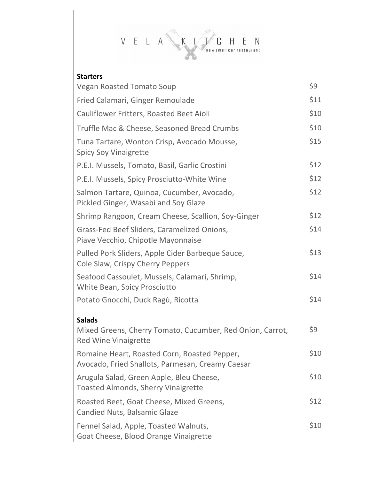

## **Starters**

| <b>Vegan Roasted Tomato Soup</b>                                                                 | \$9  |
|--------------------------------------------------------------------------------------------------|------|
| Fried Calamari, Ginger Remoulade                                                                 | \$11 |
| Cauliflower Fritters, Roasted Beet Aioli                                                         | \$10 |
| Truffle Mac & Cheese, Seasoned Bread Crumbs                                                      | \$10 |
| Tuna Tartare, Wonton Crisp, Avocado Mousse,<br><b>Spicy Soy Vinaigrette</b>                      | \$15 |
| P.E.I. Mussels, Tomato, Basil, Garlic Crostini                                                   | \$12 |
| P.E.I. Mussels, Spicy Prosciutto-White Wine                                                      | \$12 |
| Salmon Tartare, Quinoa, Cucumber, Avocado,<br>Pickled Ginger, Wasabi and Soy Glaze               | \$12 |
| Shrimp Rangoon, Cream Cheese, Scallion, Soy-Ginger                                               | \$12 |
| Grass-Fed Beef Sliders, Caramelized Onions,<br>Piave Vecchio, Chipotle Mayonnaise                | \$14 |
| Pulled Pork Sliders, Apple Cider Barbeque Sauce,<br>Cole Slaw, Crispy Cherry Peppers             | \$13 |
| Seafood Cassoulet, Mussels, Calamari, Shrimp,<br>White Bean, Spicy Prosciutto                    | \$14 |
| Potato Gnocchi, Duck Ragù, Ricotta                                                               | \$14 |
| <b>Salads</b>                                                                                    |      |
| Mixed Greens, Cherry Tomato, Cucumber, Red Onion, Carrot,<br><b>Red Wine Vinaigrette</b>         | \$9  |
| Romaine Heart, Roasted Corn, Roasted Pepper,<br>Avocado, Fried Shallots, Parmesan, Creamy Caesar | \$10 |
| Arugula Salad, Green Apple, Bleu Cheese,<br><b>Toasted Almonds, Sherry Vinaigrette</b>           | \$10 |
| Roasted Beet, Goat Cheese, Mixed Greens,<br><b>Candied Nuts, Balsamic Glaze</b>                  | \$12 |
| Fennel Salad, Apple, Toasted Walnuts,<br>Goat Cheese, Blood Orange Vinaigrette                   | \$10 |